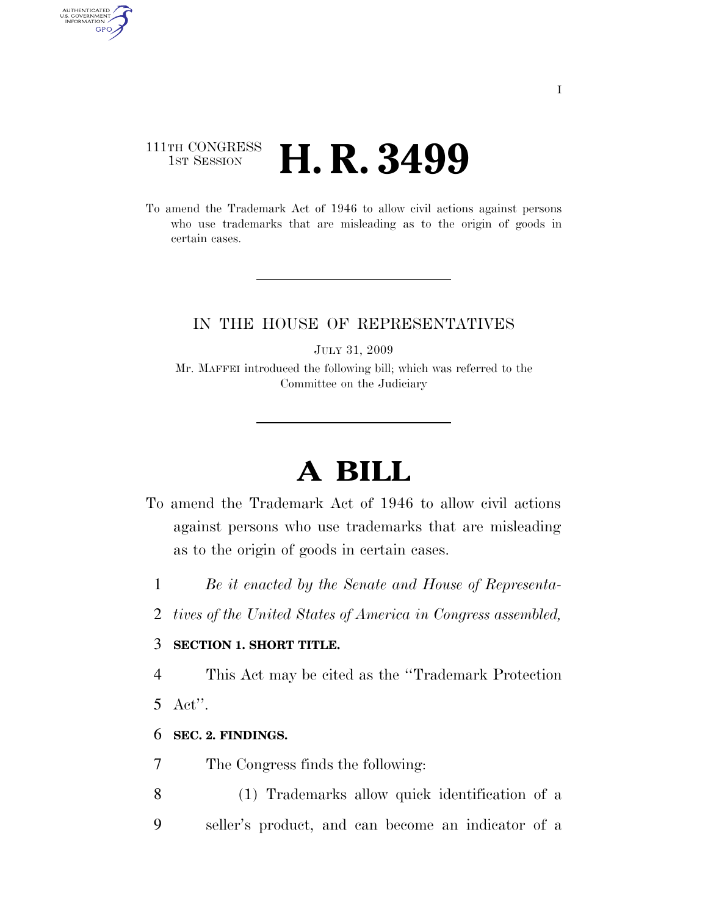# 111TH CONGRESS **1ST SESSION <b>H. R. 3499**

To amend the Trademark Act of 1946 to allow civil actions against persons who use trademarks that are misleading as to the origin of goods in certain cases.

## IN THE HOUSE OF REPRESENTATIVES

JULY 31, 2009

Mr. MAFFEI introduced the following bill; which was referred to the Committee on the Judiciary

# **A BILL**

- To amend the Trademark Act of 1946 to allow civil actions against persons who use trademarks that are misleading as to the origin of goods in certain cases.
	- 1 *Be it enacted by the Senate and House of Representa-*
	- 2 *tives of the United States of America in Congress assembled,*

#### 3 **SECTION 1. SHORT TITLE.**

4 This Act may be cited as the ''Trademark Protection

5 Act''.

AUTHENTICATED<br>U.S. GOVERNMENT<br>INFORMATION GPO

#### 6 **SEC. 2. FINDINGS.**

- 7 The Congress finds the following:
- 8 (1) Trademarks allow quick identification of a 9 seller's product, and can become an indicator of a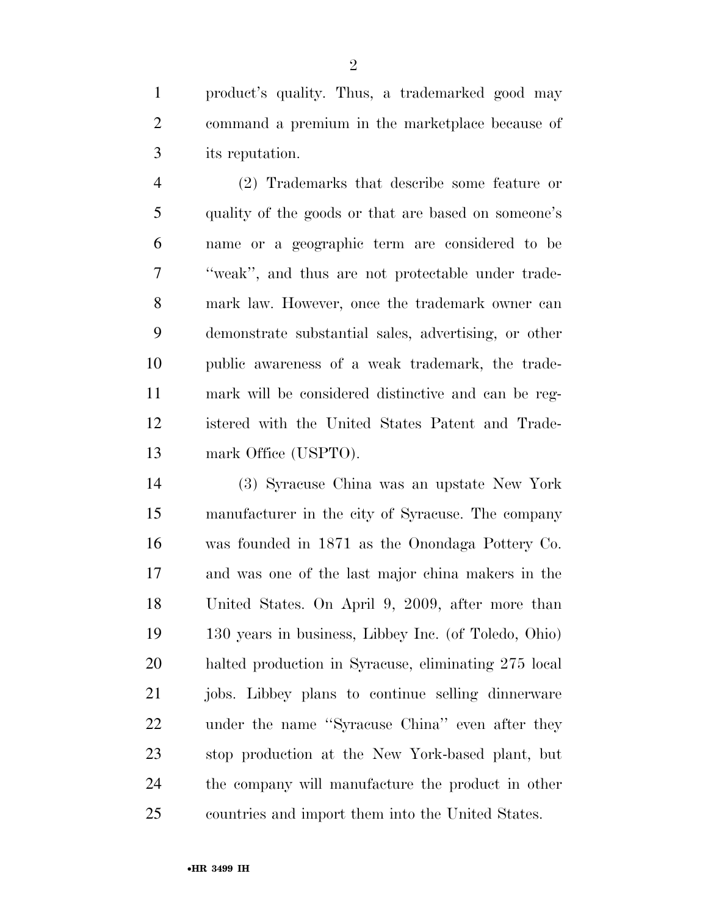product's quality. Thus, a trademarked good may command a premium in the marketplace because of its reputation.

 (2) Trademarks that describe some feature or quality of the goods or that are based on someone's name or a geographic term are considered to be ''weak'', and thus are not protectable under trade- mark law. However, once the trademark owner can demonstrate substantial sales, advertising, or other public awareness of a weak trademark, the trade- mark will be considered distinctive and can be reg- istered with the United States Patent and Trade-13 mark Office (USPTO).

 (3) Syracuse China was an upstate New York manufacturer in the city of Syracuse. The company was founded in 1871 as the Onondaga Pottery Co. and was one of the last major china makers in the United States. On April 9, 2009, after more than 130 years in business, Libbey Inc. (of Toledo, Ohio) halted production in Syracuse, eliminating 275 local jobs. Libbey plans to continue selling dinnerware under the name ''Syracuse China'' even after they stop production at the New York-based plant, but the company will manufacture the product in other countries and import them into the United States.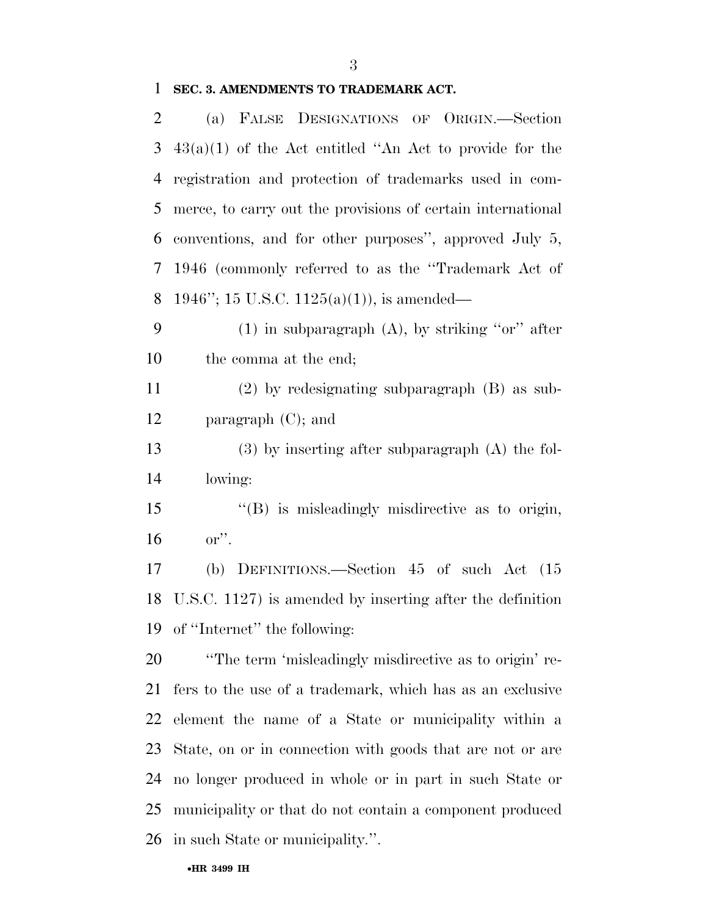# **SEC. 3. AMENDMENTS TO TRADEMARK ACT.**

| 2              | (a) FALSE DESIGNATIONS OF ORIGIN.—Section                    |
|----------------|--------------------------------------------------------------|
| 3              | $43(a)(1)$ of the Act entitled "An Act to provide for the    |
| $\overline{4}$ | registration and protection of trademarks used in com-       |
| 5              | merce, to carry out the provisions of certain international  |
| 6              | conventions, and for other purposes", approved July 5,       |
| 7              | 1946 (commonly referred to as the "Trademark Act of          |
| 8              | 1946"; 15 U.S.C. 1125(a)(1)), is amended—                    |
| 9              | $(1)$ in subparagraph $(A)$ , by striking "or" after         |
| 10             | the comma at the end;                                        |
| 11             | $(2)$ by redesignating subparagraph $(B)$ as sub-            |
| 12             | paragraph $(C)$ ; and                                        |
| 13             | $(3)$ by inserting after subparagraph $(A)$ the fol-         |
| 14             | lowing:                                                      |
| 15             | $\lq\lq$ is misleadingly misdirective as to origin,          |
| 16             | $or$ ".                                                      |
| 17             | (b) DEFINITIONS.—Section $45$ of such Act $(15)$             |
| 18             | U.S.C. $1127$ ) is amended by inserting after the definition |
|                | 19 of "Internet" the following:                              |
| 20             | "The term 'misleadingly misdirective as to origin' re-       |
| 21             | fers to the use of a trademark, which has as an exclusive    |
| 22             | element the name of a State or municipality within a         |
| 23             | State, on or in connection with goods that are not or are    |
| 24             | no longer produced in whole or in part in such State or      |
| 25             | municipality or that do not contain a component produced     |
| 26             | in such State or municipality.".                             |